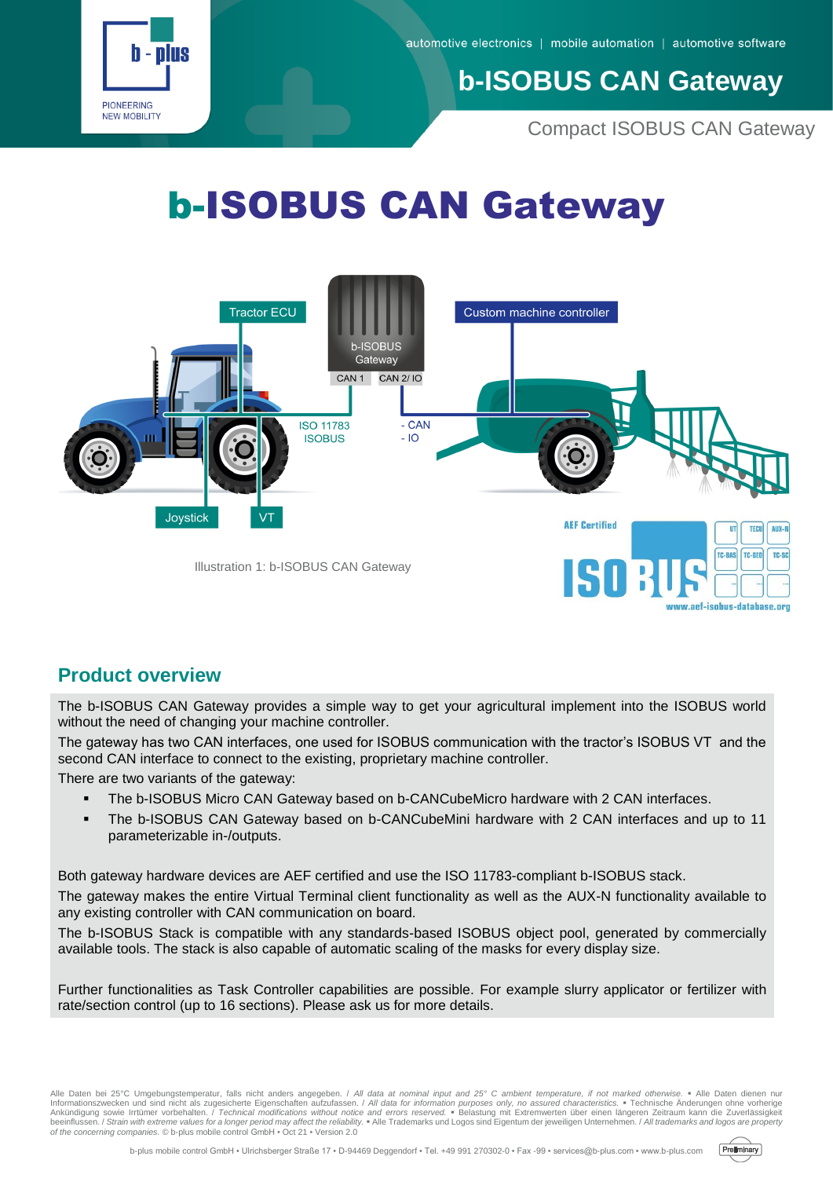

## **b-ISOBUS CAN Gateway**

Compact ISOBUS CAN Gateway

# b-ISOBUS CAN Gateway



#### **Product overview**

The b-ISOBUS CAN Gateway provides a simple way to get your agricultural implement into the ISOBUS world without the need of changing your machine controller.

The gateway has two CAN interfaces, one used for ISOBUS communication with the tractor's ISOBUS VT and the second CAN interface to connect to the existing, proprietary machine controller.

There are two variants of the gateway:

- **The b-ISOBUS Micro CAN Gateway based on b-CANCubeMicro hardware with 2 CAN interfaces.**
- The b-ISOBUS CAN Gateway based on b-CANCubeMini hardware with 2 CAN interfaces and up to 11 parameterizable in-/outputs.

Both gateway hardware devices are AEF certified and use the ISO 11783-compliant b-ISOBUS stack.

The gateway makes the entire Virtual Terminal client functionality as well as the AUX-N functionality available to any existing controller with CAN communication on board.

The b-ISOBUS Stack is compatible with any standards-based ISOBUS object pool, generated by commercially available tools. The stack is also capable of automatic scaling of the masks for every display size.

Further functionalities as Task Controller capabilities are possible. For example slurry applicator or fertilizer with rate/section control (up to 16 sections). Please ask us for more details.

Alle Daten bei 25°C Umgebungstemperatur, falls nicht anders angegeben. / All data at nominal input and 25° C ambient temperature, if not marked otherwise. • Alle Daten dienen nur<br>Informationszwecken und sind nicht als zuge

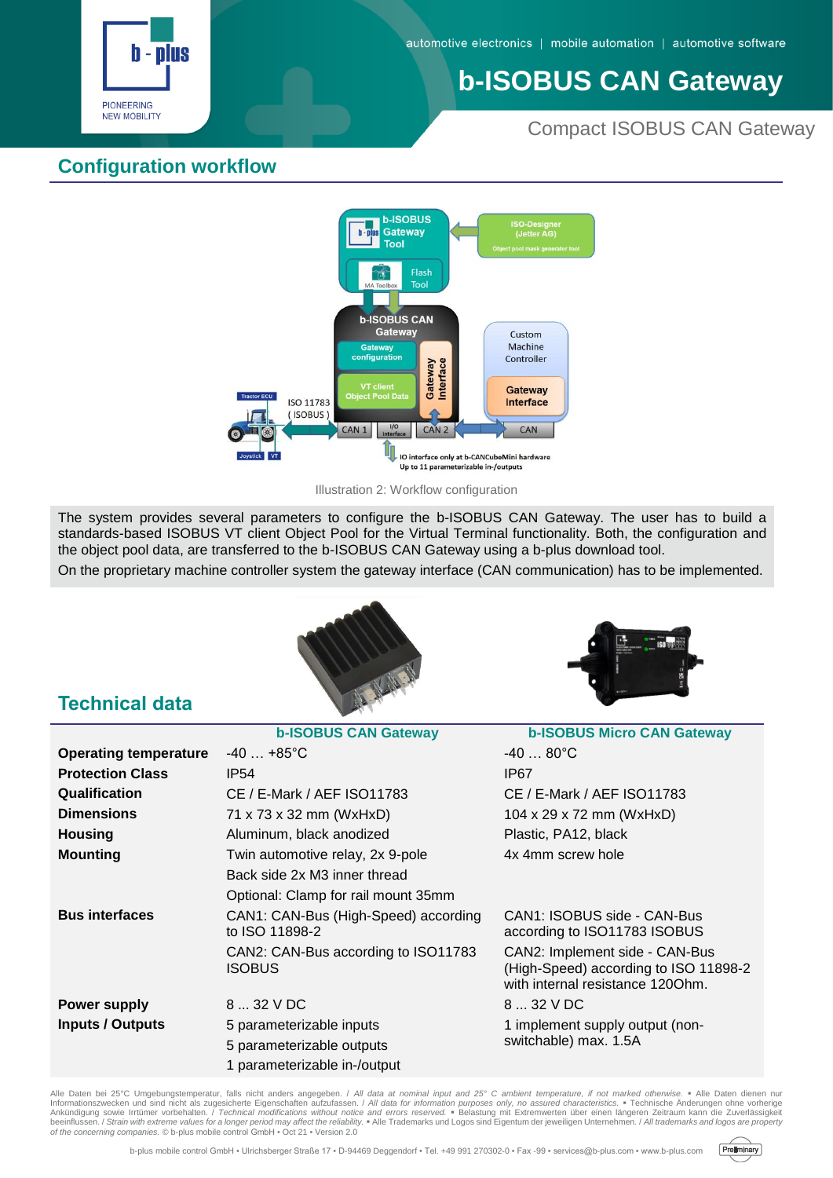

# **b-ISOBUS CAN Gateway**

#### Compact ISOBUS CAN Gateway

#### **Configuration workflow**



Illustration 2: Workflow configuration

The system provides several parameters to configure the b-ISOBUS CAN Gateway. The user has to build a standards-based ISOBUS VT client Object Pool for the Virtual Terminal functionality. Both, the configuration and the object pool data, are transferred to the b-ISOBUS CAN Gateway using a b-plus download tool.

On the proprietary machine controller system the gateway interface (CAN communication) has to be implemented.





#### **Technical data**

|                              | <b>b-ISOBUS CAN Gateway</b>                            | <b>b-ISOBUS Micro CAN Gateway</b>                                                                           |
|------------------------------|--------------------------------------------------------|-------------------------------------------------------------------------------------------------------------|
| <b>Operating temperature</b> | $-40$ $+85^{\circ}$ C                                  | $-4080^{\circ}C$                                                                                            |
| <b>Protection Class</b>      | IP <sub>54</sub>                                       | IP67                                                                                                        |
| <b>Qualification</b>         | CE / E-Mark / AEF ISO11783                             | CE / E-Mark / AEF ISO11783                                                                                  |
| <b>Dimensions</b>            | 71 x 73 x 32 mm (WxHxD)                                | 104 x 29 x 72 mm (WxHxD)                                                                                    |
| <b>Housing</b>               | Aluminum, black anodized                               | Plastic, PA12, black                                                                                        |
| <b>Mounting</b>              | Twin automotive relay, 2x 9-pole                       | 4x 4mm screw hole                                                                                           |
|                              | Back side 2x M3 inner thread                           |                                                                                                             |
|                              | Optional: Clamp for rail mount 35mm                    |                                                                                                             |
| <b>Bus interfaces</b>        | CAN1: CAN-Bus (High-Speed) according<br>to ISO 11898-2 | CAN1: ISOBUS side - CAN-Bus<br>according to ISO11783 ISOBUS                                                 |
|                              | CAN2: CAN-Bus according to ISO11783<br>ISOBUS          | CAN2: Implement side - CAN-Bus<br>(High-Speed) according to ISO 11898-2<br>with internal resistance 1200hm. |
| <b>Power supply</b>          | 8  32 V DC                                             | 8  32 V DC                                                                                                  |
| <b>Inputs / Outputs</b>      | 5 parameterizable inputs                               | 1 implement supply output (non-<br>switchable) max. 1.5A                                                    |
|                              | 5 parameterizable outputs                              |                                                                                                             |
|                              | 1 parameterizable in-/output                           |                                                                                                             |

Alle Daten bei 25°C Umgebungstemperatur, falls nicht anders angegeben. / All data at nominal input and 25° C ambient temperature, if not marked otherwise. • Alle Daten dienen nur<br>Informationszwecken und sind nicht als zuge